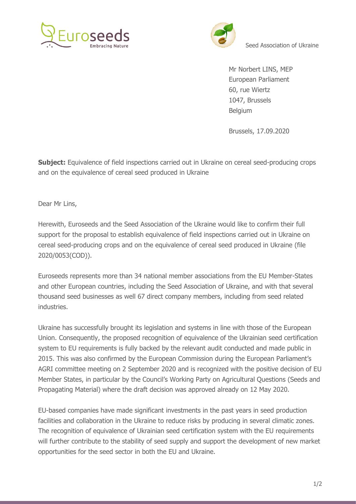



Seed Association of Ukraine

Mr Norbert LINS, MEP European Parliament 60, rue Wiertz 1047, Brussels Belgium

Brussels, 17.09.2020

**Subject:** Equivalence of field inspections carried out in Ukraine on cereal seed-producing crops and on the equivalence of cereal seed produced in Ukraine

Dear Mr Lins,

Herewith, Euroseeds and the Seed Association of the Ukraine would like to confirm their full support for the proposal to establish equivalence of field inspections carried out in Ukraine on cereal seed-producing crops and on the equivalence of cereal seed produced in Ukraine (file 2020/0053(COD)).

Euroseeds represents more than 34 national member associations from the EU Member-States and other European countries, including the Seed Association of Ukraine, and with that several thousand seed businesses as well 67 direct company members, including from seed related industries.

Ukraine has successfully brought its legislation and systems in line with those of the European Union. Consequently, the proposed recognition of equivalence of the Ukrainian seed certification system to EU requirements is fully backed by the relevant audit conducted and made public in 2015. This was also confirmed by the European Commission during the European Parliament's AGRI committee meeting on 2 September 2020 and is recognized with the positive decision of EU Member States, in particular by the Council's Working Party on Agricultural Questions (Seeds and Propagating Material) where the draft decision was approved already on 12 May 2020.

EU-based companies have made significant investments in the past years in seed production facilities and collaboration in the Ukraine to reduce risks by producing in several climatic zones. The recognition of equivalence of Ukrainian seed certification system with the EU requirements will further contribute to the stability of seed supply and support the development of new market opportunities for the seed sector in both the EU and Ukraine.